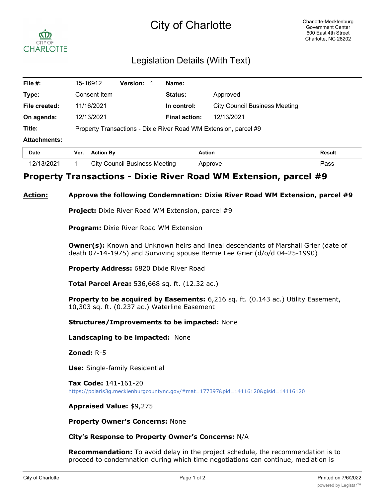# City of Charlotte



## Legislation Details (With Text)

| File #:             | 15-16912                                                         | <b>Version:</b> |  | Name:                |                                      |               |  |  |
|---------------------|------------------------------------------------------------------|-----------------|--|----------------------|--------------------------------------|---------------|--|--|
| Type:               | Consent Item                                                     |                 |  | Status:              | Approved                             |               |  |  |
| File created:       | 11/16/2021                                                       |                 |  | In control:          | <b>City Council Business Meeting</b> |               |  |  |
| On agenda:          | 12/13/2021                                                       |                 |  | <b>Final action:</b> | 12/13/2021                           |               |  |  |
| Title:              | Property Transactions - Dixie River Road WM Extension, parcel #9 |                 |  |                      |                                      |               |  |  |
| <b>Attachments:</b> |                                                                  |                 |  |                      |                                      |               |  |  |
| <b>Date</b>         | <b>Action By</b><br>Ver.                                         |                 |  | <b>Action</b>        |                                      | <b>Result</b> |  |  |

| Date       | Ver. | <b>Action Bv</b>                     | Action  | Result |
|------------|------|--------------------------------------|---------|--------|
| 12/13/2021 |      | <b>City Council Business Meeting</b> | Approve | יפα    |

### **Property Transactions - Dixie River Road WM Extension, parcel #9**

#### **Action: Approve the following Condemnation: Dixie River Road WM Extension, parcel #9**

**Project:** Dixie River Road WM Extension, parcel #9

**Program:** Dixie River Road WM Extension

**Owner(s):** Known and Unknown heirs and lineal descendants of Marshall Grier (date of death 07-14-1975) and Surviving spouse Bernie Lee Grier (d/o/d 04-25-1990)

**Property Address:** 6820 Dixie River Road

**Total Parcel Area:** 536,668 sq. ft. (12.32 ac.)

**Property to be acquired by Easements:** 6,216 sq. ft. (0.143 ac.) Utility Easement, 10,303 sq. ft. (0.237 ac.) Waterline Easement

**Structures/Improvements to be impacted:** None

**Landscaping to be impacted:** None

**Zoned:** R-5

**Use:** Single-family Residential

**Tax Code:** 141-161-20 https://polaris3g.mecklenburgcountync.gov/#mat=177397&pid=14116120&gisid=14116120

**Appraised Value:** \$9,275

**Property Owner's Concerns:** None

#### **City's Response to Property Owner's Concerns:** N/A

**Recommendation:** To avoid delay in the project schedule, the recommendation is to proceed to condemnation during which time negotiations can continue, mediation is